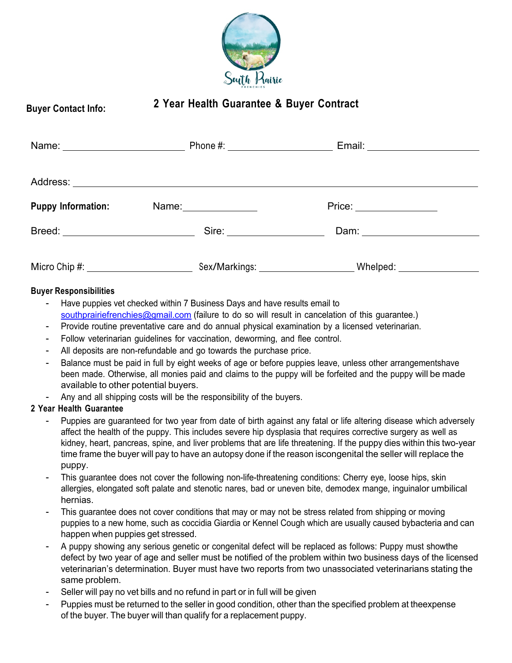

# **Buyer Contact Info: <sup>2</sup> Year Health Guarantee & Buyer Contract**

|                           |                               | Email: ________________________ |  |
|---------------------------|-------------------------------|---------------------------------|--|
|                           |                               |                                 |  |
|                           |                               |                                 |  |
| <b>Puppy Information:</b> | Name: ________________        | Price: ________________         |  |
|                           | Sire: _______________________ | Dam: ________________________   |  |
|                           |                               | Whelped: _________________      |  |

### **Buyer Responsibilities**

- Have puppies vet checked within 7 Business Days and have results email to southprairiefrenchies@gmail.com (failure to do so will result in cancelation of this guarantee.)
- Provide routine preventative care and do annual physical examination by a licensed veterinarian.
- Follow veterinarian guidelines for vaccination, deworming, and flee control.
- All deposits are non-refundable and go towards the purchase price.
- Balance must be paid in full by eight weeks of age or before puppies leave, unless other arrangementshave been made. Otherwise, all monies paid and claims to the puppy will be forfeited and the puppy will be made available to other potential buyers.
- Any and all shipping costs will be the responsibility of the buyers.

# **2 Year Health Guarantee**

- Puppies are guaranteed for two year from date of birth against any fatal or life altering disease which adversely affect the health of the puppy. This includes severe hip dysplasia that requires corrective surgery as well as kidney, heart, pancreas, spine, and liver problems that are life threatening. If the puppy dies within this two-year time frame the buyer will pay to have an autopsy done if the reason iscongenital the seller will replace the puppy.
- This guarantee does not cover the following non-life-threatening conditions: Cherry eye, loose hips, skin allergies, elongated soft palate and stenotic nares, bad or uneven bite, demodex mange, inguinalor umbilical hernias.
- This guarantee does not cover conditions that may or may not be stress related from shipping or moving puppies to a new home, such as coccidia Giardia or Kennel Cough which are usually caused bybacteria and can happen when puppies get stressed.
- A puppy showing any serious genetic or congenital defect will be replaced as follows: Puppy must showthe defect by two year of age and seller must be notified of the problem within two business days of the licensed veterinarian's determination. Buyer must have two reports from two unassociated veterinarians stating the same problem.
- Seller will pay no vet bills and no refund in part or in full will be given
- Puppies must be returned to the seller in good condition, other than the specified problem at theexpense of the buyer. The buyer will than qualify for a replacement puppy.